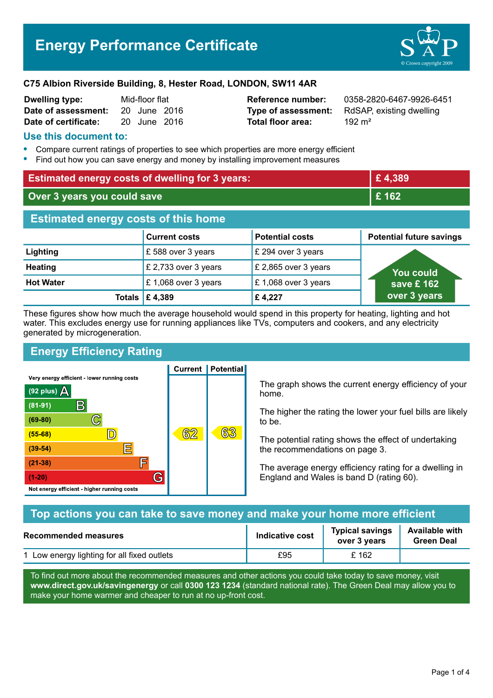

#### **C75 Albion Riverside Building, 8, Hester Road, LONDON, SW11 4AR**

| <b>Dwelling type:</b> | Mid-floor flat |              |  |
|-----------------------|----------------|--------------|--|
| Date of assessment:   |                | 20 June 2016 |  |
| Date of certificate:  |                | 20 June 2016 |  |

# **Total floor area:** 2016 192 m<sup>2</sup>

**Reference number:** 0358-2820-6467-9926-6451 **Type of assessment:** RdSAP, existing dwelling

#### **Use this document to:**

- **•** Compare current ratings of properties to see which properties are more energy efficient
- **•** Find out how you can save energy and money by installing improvement measures

| <b>Estimated energy costs of dwelling for 3 years:</b> |                           | £4,389                 |                                 |  |
|--------------------------------------------------------|---------------------------|------------------------|---------------------------------|--|
| Over 3 years you could save                            |                           | £162                   |                                 |  |
| <b>Estimated energy costs of this home</b>             |                           |                        |                                 |  |
|                                                        | <b>Current costs</b>      | <b>Potential costs</b> | <b>Potential future savings</b> |  |
| Lighting                                               | £588 over 3 years         | £ 294 over 3 years     |                                 |  |
| <b>Heating</b>                                         | £ 2,733 over 3 years      | £ 2,865 over 3 years   | You could                       |  |
| <b>Hot Water</b>                                       | £1,068 over 3 years       | £1,068 over 3 years    | save £ $162$                    |  |
|                                                        | Totals $\mathsf{E}$ 4,389 | £4,227                 | over 3 years                    |  |

These figures show how much the average household would spend in this property for heating, lighting and hot water. This excludes energy use for running appliances like TVs, computers and cookers, and any electricity generated by microgeneration.

**Current | Potential** 

## **Energy Efficiency Rating**

Very energy efficient - lower running costs



The graph shows the current energy efficiency of your home.

The higher the rating the lower your fuel bills are likely to be.

The potential rating shows the effect of undertaking the recommendations on page 3.

The average energy efficiency rating for a dwelling in England and Wales is band D (rating 60).

| Top actions you can take to save money and make your home more efficient |                        |                                        |                                            |
|--------------------------------------------------------------------------|------------------------|----------------------------------------|--------------------------------------------|
| <b>Recommended measures</b>                                              | <b>Indicative cost</b> | <b>Typical savings</b><br>over 3 years | <b>Available with</b><br><b>Green Deal</b> |
| 1 Low energy lighting for all fixed outlets                              | £95                    | £162                                   |                                            |

To find out more about the recommended measures and other actions you could take today to save money, visit **www.direct.gov.uk/savingenergy** or call **0300 123 1234** (standard national rate). The Green Deal may allow you to make your home warmer and cheaper to run at no up-front cost.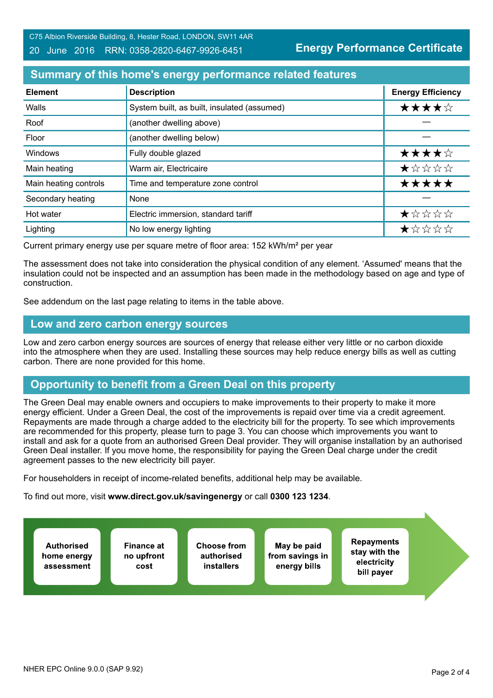#### 20 June 2016 RRN: 0358-2820-6467-9926-6451

**Energy Performance Certificate**

## **Summary of this home's energy performance related features**

| <b>Element</b>        | <b>Description</b>                          | <b>Energy Efficiency</b> |
|-----------------------|---------------------------------------------|--------------------------|
| Walls                 | System built, as built, insulated (assumed) | ★★★★☆                    |
| Roof                  | (another dwelling above)                    |                          |
| Floor                 | (another dwelling below)                    |                          |
| Windows               | Fully double glazed                         | ★★★★☆                    |
| Main heating          | Warm air, Electricaire                      | ★☆☆☆☆                    |
| Main heating controls | Time and temperature zone control           | *****                    |
| Secondary heating     | None                                        |                          |
| Hot water             | Electric immersion, standard tariff         | ★☆☆☆☆                    |
| Lighting              | No low energy lighting                      | *****                    |

Current primary energy use per square metre of floor area: 152 kWh/m² per year

The assessment does not take into consideration the physical condition of any element. 'Assumed' means that the insulation could not be inspected and an assumption has been made in the methodology based on age and type of construction.

See addendum on the last page relating to items in the table above.

#### **Low and zero carbon energy sources**

Low and zero carbon energy sources are sources of energy that release either very little or no carbon dioxide into the atmosphere when they are used. Installing these sources may help reduce energy bills as well as cutting carbon. There are none provided for this home.

## **Opportunity to benefit from a Green Deal on this property**

The Green Deal may enable owners and occupiers to make improvements to their property to make it more energy efficient. Under a Green Deal, the cost of the improvements is repaid over time via a credit agreement. Repayments are made through a charge added to the electricity bill for the property. To see which improvements are recommended for this property, please turn to page 3. You can choose which improvements you want to install and ask for a quote from an authorised Green Deal provider. They will organise installation by an authorised Green Deal installer. If you move home, the responsibility for paying the Green Deal charge under the credit agreement passes to the new electricity bill payer.

For householders in receipt of income-related benefits, additional help may be available.

To find out more, visit **www.direct.gov.uk/savingenergy** or call **0300 123 1234**.

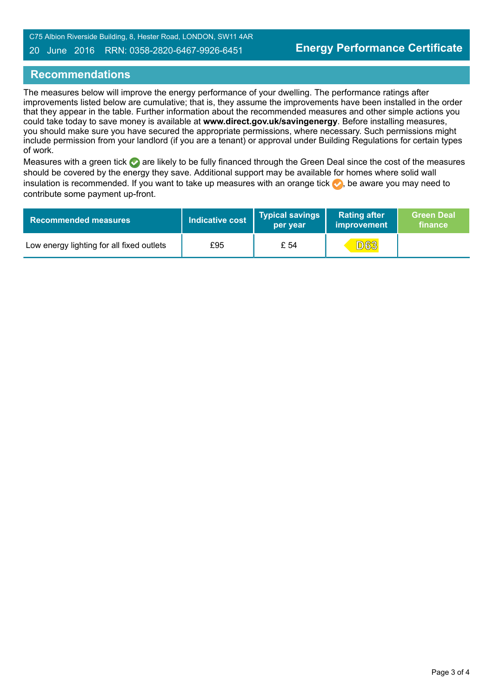C75 Albion Riverside Building, 8, Hester Road, LONDON, SW11 4AR

#### 20 June 2016 RRN: 0358-2820-6467-9926-6451

#### **Recommendations**

The measures below will improve the energy performance of your dwelling. The performance ratings after improvements listed below are cumulative; that is, they assume the improvements have been installed in the order that they appear in the table. Further information about the recommended measures and other simple actions you could take today to save money is available at **www.direct.gov.uk/savingenergy**. Before installing measures, you should make sure you have secured the appropriate permissions, where necessary. Such permissions might include permission from your landlord (if you are a tenant) or approval under Building Regulations for certain types of work.

Measures with a green tick are likely to be fully financed through the Green Deal since the cost of the measures should be covered by the energy they save. Additional support may be available for homes where solid wall insulation is recommended. If you want to take up measures with an orange tick  $\blacklozenge$ , be aware you may need to contribute some payment up-front.

| <b>Recommended measures</b>               | Indicative cost | <b>Typical savings</b><br>per vear | <b>Rating after</b><br>improvement | <b>Green Deal</b><br>finance |
|-------------------------------------------|-----------------|------------------------------------|------------------------------------|------------------------------|
| Low energy lighting for all fixed outlets | £95             | £ 54                               | <b>D63</b>                         |                              |